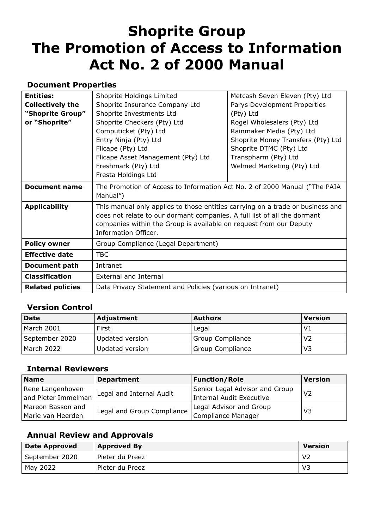# **Shoprite Group The Promotion of Access to Information Act No. 2 of 2000 Manual**

# **Document Properties**

| <b>Entities:</b>        | Shoprite Holdings Limited                                                      | Metcash Seven Eleven (Pty) Ltd     |  |
|-------------------------|--------------------------------------------------------------------------------|------------------------------------|--|
| <b>Collectively the</b> | Shoprite Insurance Company Ltd                                                 | Parys Development Properties       |  |
| "Shoprite Group"        | Shoprite Investments Ltd                                                       | (Pty) Ltd                          |  |
| or "Shoprite"           | Shoprite Checkers (Pty) Ltd                                                    | Rogel Wholesalers (Pty) Ltd        |  |
|                         | Computicket (Pty) Ltd                                                          | Rainmaker Media (Pty) Ltd          |  |
|                         | Entry Ninja (Pty) Ltd                                                          | Shoprite Money Transfers (Pty) Ltd |  |
|                         | Flicape (Pty) Ltd                                                              | Shoprite DTMC (Pty) Ltd            |  |
|                         | Flicape Asset Management (Pty) Ltd                                             | Transpharm (Pty) Ltd               |  |
|                         | Freshmark (Pty) Ltd                                                            | Welmed Marketing (Pty) Ltd         |  |
|                         | Fresta Holdings Ltd                                                            |                                    |  |
| Document name           | The Promotion of Access to Information Act No. 2 of 2000 Manual ("The PAIA     |                                    |  |
|                         | Manual")                                                                       |                                    |  |
| <b>Applicability</b>    | This manual only applies to those entities carrying on a trade or business and |                                    |  |
|                         | does not relate to our dormant companies. A full list of all the dormant       |                                    |  |
|                         | companies within the Group is available on request from our Deputy             |                                    |  |
|                         | Information Officer.                                                           |                                    |  |
| <b>Policy owner</b>     | Group Compliance (Legal Department)                                            |                                    |  |
| <b>Effective date</b>   | TBC                                                                            |                                    |  |
| <b>Document path</b>    | Intranet                                                                       |                                    |  |
| <b>Classification</b>   | <b>External and Internal</b>                                                   |                                    |  |
| <b>Related policies</b> | Data Privacy Statement and Policies (various on Intranet)                      |                                    |  |

## **Version Control**

| Date           | Adjustment      | Authors                 | <b>Version</b> |
|----------------|-----------------|-------------------------|----------------|
| March 2001     | First           | Legal                   | V1             |
| September 2020 | Updated version | <b>Group Compliance</b> | V2             |
| March 2022     | Updated version | Group Compliance        | V3             |

# **Internal Reviewers**

| <b>Name</b>         | <b>Department</b>          | <b>Function/Role</b>           | <b>Version</b> |  |
|---------------------|----------------------------|--------------------------------|----------------|--|
| Rene Langenhoven    | Legal and Internal Audit   | Senior Legal Advisor and Group | V <sub>2</sub> |  |
| and Pieter Immelman |                            | Internal Audit Executive       |                |  |
| Mareon Basson and   | Legal and Group Compliance | Legal Advisor and Group        | V3             |  |
| Marie van Heerden   |                            | Compliance Manager             |                |  |

# **Annual Review and Approvals**

| <b>Date Approved</b> | <b>Approved By</b> | <b>Version</b> |
|----------------------|--------------------|----------------|
| September 2020       | Pieter du Preez    | V <sub>2</sub> |
| May 2022             | Pieter du Preez    | V <sub>3</sub> |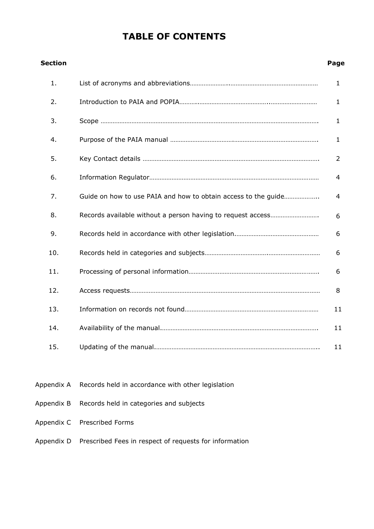# **TABLE OF CONTENTS**

| Section |                                                                | Page         |
|---------|----------------------------------------------------------------|--------------|
| 1.      |                                                                | $\mathbf{1}$ |
| 2.      |                                                                | $\mathbf{1}$ |
| 3.      |                                                                | 1            |
| 4.      |                                                                | 1            |
| 5.      |                                                                | 2            |
| 6.      |                                                                | 4            |
| 7.      | Guide on how to use PAIA and how to obtain access to the guide | 4            |
| 8.      |                                                                | 6            |
| 9.      |                                                                | 6            |
| 10.     |                                                                | 6            |
| 11.     |                                                                | 6            |
| 12.     |                                                                | 8            |
| 13.     |                                                                | 11           |
| 14.     |                                                                | 11           |
| 15.     |                                                                | 11           |

- Appendix A Records held in accordance with other legislation
- Appendix B Records held in categories and subjects
- Appendix C Prescribed Forms
- Appendix D Prescribed Fees in respect of requests for information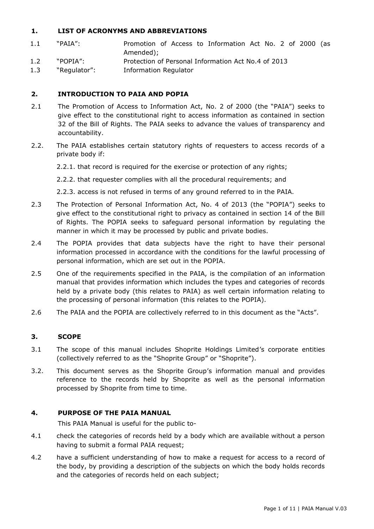#### **1. LIST OF ACRONYMS AND ABBREVIATIONS**

- 1.1 "PAIA": Promotion of Access to Information Act No. 2 of 2000 (as Amended);
- 1.2 "POPIA": Protection of Personal Information Act No.4 of 2013
- 1.3 "Regulator": Information Regulator

#### **2. INTRODUCTION TO PAIA AND POPIA**

- 2.1 The Promotion of Access to Information Act, No. 2 of 2000 (the "PAIA") seeks to give effect to the constitutional right to access information as contained in section 32 of the Bill of Rights. The PAIA seeks to advance the values of transparency and accountability.
- 2.2. The PAIA establishes certain statutory rights of requesters to access records of a private body if:

2.2.1. that record is required for the exercise or protection of any rights;

2.2.2. that requester complies with all the procedural requirements; and

2.2.3. access is not refused in terms of any ground referred to in the PAIA.

- 2.3 The Protection of Personal Information Act, No. 4 of 2013 (the "POPIA") seeks to give effect to the constitutional right to privacy as contained in section 14 of the Bill of Rights. The POPIA seeks to safeguard personal information by regulating the manner in which it may be processed by public and private bodies.
- 2.4 The POPIA provides that data subjects have the right to have their personal information processed in accordance with the conditions for the lawful processing of personal information, which are set out in the POPIA.
- 2.5 One of the requirements specified in the PAIA, is the compilation of an information manual that provides information which includes the types and categories of records held by a private body (this relates to PAIA) as well certain information relating to the processing of personal information (this relates to the POPIA).
- 2.6 The PAIA and the POPIA are collectively referred to in this document as the "Acts".

#### **3. SCOPE**

- 3.1 The scope of this manual includes Shoprite Holdings Limited's corporate entities (collectively referred to as the "Shoprite Group" or "Shoprite").
- 3.2. This document serves as the Shoprite Group's information manual and provides reference to the records held by Shoprite as well as the personal information processed by Shoprite from time to time.

#### **4. PURPOSE OF THE PAIA MANUAL**

This PAIA Manual is useful for the public to-

- 4.1 check the categories of records held by a body which are available without a person having to submit a formal PAIA request;
- 4.2 have a sufficient understanding of how to make a request for access to a record of the body, by providing a description of the subjects on which the body holds records and the categories of records held on each subject;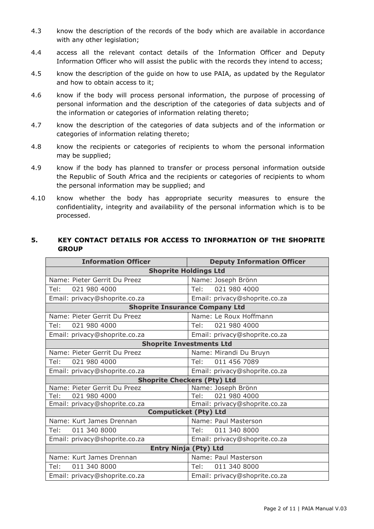- 4.3 know the description of the records of the body which are available in accordance with any other legislation;
- 4.4 access all the relevant contact details of the Information Officer and Deputy Information Officer who will assist the public with the records they intend to access;
- 4.5 know the description of the guide on how to use PAIA, as updated by the Regulator and how to obtain access to it;
- 4.6 know if the body will process personal information, the purpose of processing of personal information and the description of the categories of data subjects and of the information or categories of information relating thereto;
- 4.7 know the description of the categories of data subjects and of the information or categories of information relating thereto;
- 4.8 know the recipients or categories of recipients to whom the personal information may be supplied;
- 4.9 know if the body has planned to transfer or process personal information outside the Republic of South Africa and the recipients or categories of recipients to whom the personal information may be supplied; and
- 4.10 know whether the body has appropriate security measures to ensure the confidentiality, integrity and availability of the personal information which is to be processed.

#### **5. KEY CONTACT DETAILS FOR ACCESS TO INFORMATION OF THE SHOPRITE GROUP**

| <b>Information Officer</b>            | <b>Deputy Information Officer</b> |  |
|---------------------------------------|-----------------------------------|--|
| <b>Shoprite Holdings Ltd</b>          |                                   |  |
| Name: Pieter Gerrit Du Preez          | Name: Joseph Brönn                |  |
| 021 980 4000<br>Tel:                  | 021 980 4000<br>Tel:              |  |
| Email: privacy@shoprite.co.za         | Email: privacy@shoprite.co.za     |  |
| <b>Shoprite Insurance Company Ltd</b> |                                   |  |
| Name: Pieter Gerrit Du Preez          | Name: Le Roux Hoffmann            |  |
| Tel:<br>021 980 4000                  | Tel:<br>021 980 4000              |  |
| Email: privacy@shoprite.co.za         | Email: privacy@shoprite.co.za     |  |
| <b>Shoprite Investments Ltd</b>       |                                   |  |
| Name: Pieter Gerrit Du Preez          | Name: Mirandi Du Bruyn            |  |
| 021 980 4000<br>Tel:                  | 011 456 7089<br>Tel:              |  |
| Email: privacy@shoprite.co.za         | Email: privacy@shoprite.co.za     |  |
| <b>Shoprite Checkers (Pty) Ltd</b>    |                                   |  |
| Name: Pieter Gerrit Du Preez          | Name: Joseph Brönn                |  |
| 021 980 4000<br>Tel:                  | 021 980 4000<br>Tel:              |  |
| Email: privacy@shoprite.co.za         | Email: privacy@shoprite.co.za     |  |
| <b>Computicket (Pty) Ltd</b>          |                                   |  |
| Name: Kurt James Drennan              | Name: Paul Masterson              |  |
| Tel:<br>011 340 8000                  | Tel:<br>011 340 8000              |  |
| Email: privacy@shoprite.co.za         | Email: privacy@shoprite.co.za     |  |
| <b>Entry Ninja (Pty) Ltd</b>          |                                   |  |
| Name: Kurt James Drennan              | Name: Paul Masterson              |  |
| Tel:<br>011 340 8000                  | Tel:<br>011 340 8000              |  |
| Email: privacy@shoprite.co.za         | Email: privacy@shoprite.co.za     |  |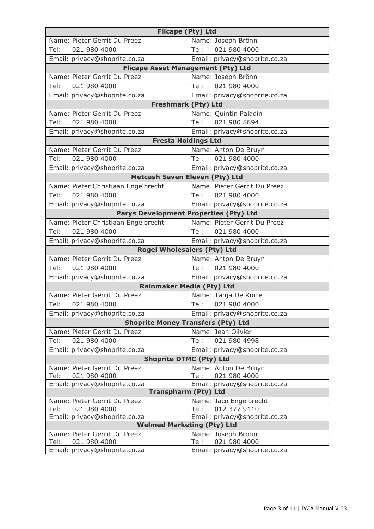| <b>Flicape (Pty) Ltd</b>                                                                            |                               |  |
|-----------------------------------------------------------------------------------------------------|-------------------------------|--|
| Name: Pieter Gerrit Du Preez                                                                        | Name: Joseph Brönn            |  |
| Tel:<br>021 980 4000                                                                                | Tel:<br>021 980 4000          |  |
| Email: privacy@shoprite.co.za                                                                       | Email: privacy@shoprite.co.za |  |
| <b>Flicape Asset Management (Pty) Ltd</b>                                                           |                               |  |
| Name: Pieter Gerrit Du Preez                                                                        | Name: Joseph Brönn            |  |
| Tel:<br>021 980 4000                                                                                | 021 980 4000<br>Tel:          |  |
| Email: privacy@shoprite.co.za                                                                       | Email: privacy@shoprite.co.za |  |
| <b>Freshmark (Pty) Ltd</b>                                                                          |                               |  |
| Name: Pieter Gerrit Du Preez                                                                        | Name: Quintin Paladin         |  |
| Tel:<br>021 980 4000                                                                                | 021 980 8894<br>Tel:          |  |
| Email: privacy@shoprite.co.za                                                                       | Email: privacy@shoprite.co.za |  |
| <b>Fresta Holdings Ltd</b>                                                                          |                               |  |
| Name: Pieter Gerrit Du Preez                                                                        | Name: Anton De Bruyn          |  |
| Tel:<br>021 980 4000                                                                                | Tel:<br>021 980 4000          |  |
| Email: privacy@shoprite.co.za                                                                       | Email: privacy@shoprite.co.za |  |
| <b>Metcash Seven Eleven (Pty) Ltd</b>                                                               |                               |  |
| Name: Pieter Christiaan Engelbrecht                                                                 | Name: Pieter Gerrit Du Preez  |  |
| Tel:<br>021 980 4000                                                                                | Tel:<br>021 980 4000          |  |
| Email: privacy@shoprite.co.za                                                                       | Email: privacy@shoprite.co.za |  |
| <b>Parys Development Properties (Pty) Ltd</b>                                                       |                               |  |
| Name: Pieter Christiaan Engelbrecht                                                                 | Name: Pieter Gerrit Du Preez  |  |
| Tel:<br>021 980 4000                                                                                | Tel:<br>021 980 4000          |  |
| Email: privacy@shoprite.co.za                                                                       | Email: privacy@shoprite.co.za |  |
| <b>Rogel Wholesalers (Pty) Ltd</b>                                                                  |                               |  |
| Name: Pieter Gerrit Du Preez                                                                        | Name: Anton De Bruyn          |  |
| Tel:<br>021 980 4000                                                                                | Tel:<br>021 980 4000          |  |
| Email: privacy@shoprite.co.za                                                                       | Email: privacy@shoprite.co.za |  |
| <b>Rainmaker Media (Pty) Ltd</b>                                                                    |                               |  |
| Name: Pieter Gerrit Du Preez                                                                        | Name: Tanja De Korte          |  |
| Tel:<br>021 980 4000                                                                                | Tel:<br>021 980 4000          |  |
| Email: privacy@shoprite.co.za                                                                       | Email: privacy@shoprite.co.za |  |
| <b>Shoprite Money Transfers (Pty) Ltd</b>                                                           |                               |  |
| Name: Pieter Gerrit Du Preez                                                                        | Name: Jean Olivier            |  |
| Tel:<br>021 980 4000                                                                                | 021 980 4998<br>Tel:          |  |
| Email: privacy@shoprite.co.za                                                                       | Email: privacy@shoprite.co.za |  |
| <b>Shoprite DTMC (Pty) Ltd</b>                                                                      |                               |  |
| Name: Pieter Gerrit Du Preez                                                                        | Name: Anton De Bruyn          |  |
| 021 980 4000<br>Tel:                                                                                | 021 980 4000<br>Tel:          |  |
| Email: privacy@shoprite.co.za                                                                       | Email: privacy@shoprite.co.za |  |
| <b>Transpharm (Pty) Ltd</b>                                                                         |                               |  |
| Name: Pieter Gerrit Du Preez                                                                        | Name: Jaco Engelbrecht        |  |
| 021 980 4000<br>Tel:                                                                                | Tel:<br>012 377 9110          |  |
| Email: privacy@shoprite.co.za<br>Email: privacy@shoprite.co.za<br><b>Welmed Marketing (Pty) Ltd</b> |                               |  |
| Name: Pieter Gerrit Du Preez                                                                        | Name: Joseph Brönn            |  |
| Tel:<br>021 980 4000                                                                                | 021 980 4000<br>Tel:          |  |
| Email: privacy@shoprite.co.za                                                                       | Email: privacy@shoprite.co.za |  |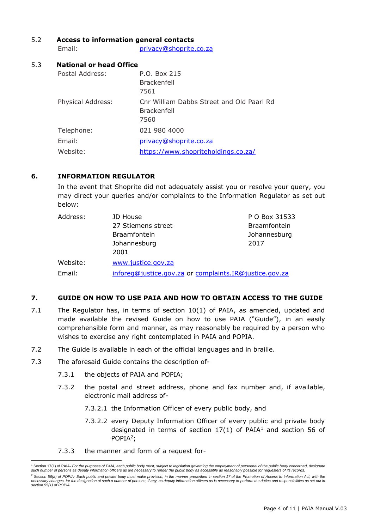5.2 **Access to information general contacts** Email: [privacy@shoprite.co.za](mailto:privacy@shoprite.co.za)

| 5.3 |                   | <b>National or head Office</b>                                          |  |  |
|-----|-------------------|-------------------------------------------------------------------------|--|--|
|     | Postal Address:   | P.O. Box 215<br><b>Brackenfell</b><br>7561                              |  |  |
|     | Physical Address: | Cnr William Dabbs Street and Old Paarl Rd<br><b>Brackenfell</b><br>7560 |  |  |
|     | Telephone:        | 021 980 4000                                                            |  |  |
|     | Email:            | privacy@shoprite.co.za                                                  |  |  |
|     | Website:          | https://www.shopriteholdings.co.za/                                     |  |  |

#### **6. INFORMATION REGULATOR**

In the event that Shoprite did not adequately assist you or resolve your query, you may direct your queries and/or complaints to the Information Regulator as set out below:

| Address: | JD House                                               | P O Box 31533       |
|----------|--------------------------------------------------------|---------------------|
|          | 27 Stiemens street                                     | <b>Braamfontein</b> |
|          | <b>Braamfontein</b>                                    | Johannesburg        |
|          | Johannesburg                                           | 2017                |
|          | 2001                                                   |                     |
| Website: | www.justice.gov.za                                     |                     |
| Email:   | inforeg@justice.gov.za or complaints.IR@justice.gov.za |                     |

#### **7. GUIDE ON HOW TO USE PAIA AND HOW TO OBTAIN ACCESS TO THE GUIDE**

- 7.1 The Regulator has, in terms of section 10(1) of PAIA, as amended, updated and made available the revised Guide on how to use PAIA ("Guide"), in an easily comprehensible form and manner, as may reasonably be required by a person who wishes to exercise any right contemplated in PAIA and POPIA.
- 7.2 The Guide is available in each of the official languages and in braille.
- 7.3 The aforesaid Guide contains the description of-
	- 7.3.1 the objects of PAIA and POPIA;
	- 7.3.2 the postal and street address, phone and fax number and, if available, electronic mail address of-
		- 7.3.2.1 the Information Officer of every public body, and
		- 7.3.2.2 every Deputy Information Officer of every public and private body designated in terms of section  $17(1)$  of PAIA<sup>1</sup> and section 56 of POPIA<sup>2</sup>;
	- 7.3.3 the manner and form of a request for-

<sup>&</sup>lt;sup>1</sup> Section 17(1) of PAIA- *For the purposes of PAIA, each public body must, subject to legislation governing the employment of personnel of the public body concerned, designate such number of persons as deputy information officers as are necessary to render the public body as accessible as reasonably possible for requesters of its records.* 

<sup>&</sup>lt;sup>2</sup> Section 56(a) of POPIA- Each public and private body must make provision, in the manner prescribed in section 17 of the Promotion of Access to Information Act, with the *necessary changes, for the designation of such a number of persons, if any, as deputy information officers as is necessary to perform the duties and responsibilities as set out in section 55(1) of POPIA.*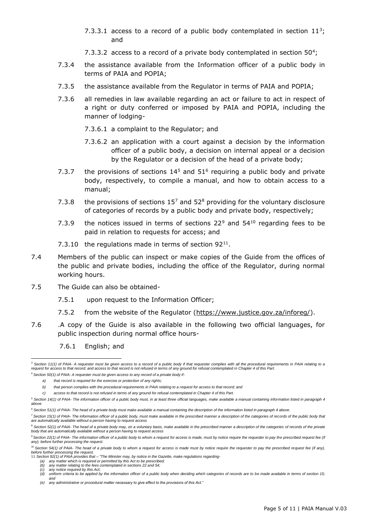- 7.3.3.1 access to a record of a public body contemplated in section  $11<sup>3</sup>$ ; and
- 7.3.3.2 access to a record of a private body contemplated in section  $50^4$ ;
- 7.3.4 the assistance available from the Information officer of a public body in terms of PAIA and POPIA;
- 7.3.5 the assistance available from the Regulator in terms of PAIA and POPIA;
- 7.3.6 all remedies in law available regarding an act or failure to act in respect of a right or duty conferred or imposed by PAIA and POPIA, including the manner of lodging-
	- 7.3.6.1 a complaint to the Regulator; and
	- 7.3.6.2 an application with a court against a decision by the information officer of a public body, a decision on internal appeal or a decision by the Regulator or a decision of the head of a private body;
- 7.3.7 the provisions of sections  $14<sup>5</sup>$  and  $51<sup>6</sup>$  requiring a public body and private body, respectively, to compile a manual, and how to obtain access to a manual;
- 7.3.8 the provisions of sections  $15<sup>7</sup>$  and  $52<sup>8</sup>$  providing for the voluntary disclosure of categories of records by a public body and private body, respectively;
- 7.3.9 the notices issued in terms of sections  $22^9$  and  $54^{10}$  regarding fees to be paid in relation to requests for access; and
- 7.3.10 the regulations made in terms of section  $92^{11}$ .
- 7.4 Members of the public can inspect or make copies of the Guide from the offices of the public and private bodies, including the office of the Regulator, during normal working hours.
- 7.5 The Guide can also be obtained-
	- 7.5.1 upon request to the Information Officer;
	- 7.5.2 from the website of the Regulator [\(https://www.justice.gov.za/inforeg/\)](https://www.justice.gov.za/inforeg/).
- 7.6 .A copy of the Guide is also available in the following two official languages, for public inspection during normal office hours-
	- 7.6.1 English; and

*(a) any matter which is required or permitted by this Act to be prescribed; (b) any matter relating to the fees contemplated in sections 22 and 54;*

<sup>&</sup>lt;sup>3</sup> Section 11(1) of PAIA- A requester must be given access to a record of a public body if that requester complies with all the procedural requirements in PAIA relating to a<br>request for access to that record; and access t

<sup>4</sup> *Section 50(1) of PAIA- A requester must be given access to any record of a private body ifa) that record is required for the exercise or protection of any rights;*

*b) that person complies with the procedural requirements in PAIA relating to a request for access to that record; and*

*c) access to that record is not refused in terms of any ground for refusal contemplated in Chapter 4 of this Part. <sup>5</sup> Section 14(1) of PAIA- The information officer of a public body must, in at least three official languages, make available a manual containing information listed in paragraph 4 above.*

*<sup>6</sup> Section 51(1) of PAIA- The head of a private body must make available a manual containing the description of the information listed in paragraph 4 above.*

<sup>&</sup>lt;sup>7</sup> Section 15(1) of PAIA- The information officer of a public body, must make available in the prescribed manner a description of the categories of records of the public body that *are automatically available without a person having to request access*

*<sup>8</sup> Section 52(1) of PAIA- The head of a private body may, on a voluntary basis, make available in the prescribed manner a description of the categories of records of the private body that are automatically available without a person having to request access*

*<sup>9</sup> Section 22(1) of PAIA- The information officer of a public body to whom a request for access is made, must by notice require the requester to pay the prescribed request fee (if any), before further processing the request.*

<sup>&</sup>lt;sup>10</sup> Section 54(1) of PAIA- The head of a private body to whom a request for access is made must by notice require the requester to pay the prescribed request fee (if any), *before further processing the request.* 11 *Section 92(1) of PAIA provides that – "The Minister may, by notice in the Gazette, make regulations regarding-*

*<sup>(</sup>c) any notice required by this Act; (d) uniform criteria to be applied by the information officer of a public body when deciding which categories of records are to be made available in terms of section 15; and*

*<sup>(</sup>e) any administrative or procedural matter necessary to give effect to the provisions of this Act."*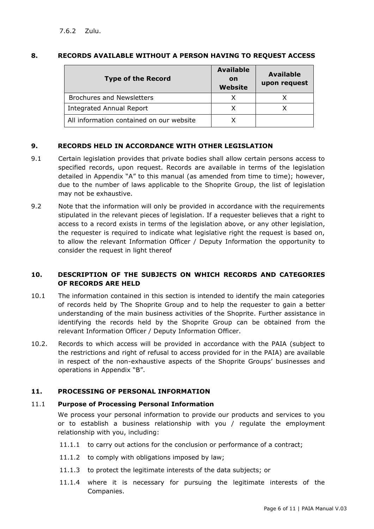#### **8. RECORDS AVAILABLE WITHOUT A PERSON HAVING TO REQUEST ACCESS**

| <b>Type of the Record</b>                | <b>Available</b><br>on<br>Website | <b>Available</b><br>upon request |
|------------------------------------------|-----------------------------------|----------------------------------|
| <b>Brochures and Newsletters</b>         |                                   |                                  |
| <b>Integrated Annual Report</b>          |                                   |                                  |
| All information contained on our website |                                   |                                  |

#### **9. RECORDS HELD IN ACCORDANCE WITH OTHER LEGISLATION**

- 9.1 Certain legislation provides that private bodies shall allow certain persons access to specified records, upon request. Records are available in terms of the legislation detailed in Appendix "A" to this manual (as amended from time to time); however, due to the number of laws applicable to the Shoprite Group, the list of legislation may not be exhaustive.
- 9.2 Note that the information will only be provided in accordance with the requirements stipulated in the relevant pieces of legislation. If a requester believes that a right to access to a record exists in terms of the legislation above, or any other legislation, the requester is required to indicate what legislative right the request is based on, to allow the relevant Information Officer / Deputy Information the opportunity to consider the request in light thereof

#### **10. DESCRIPTION OF THE SUBJECTS ON WHICH RECORDS AND CATEGORIES OF RECORDS ARE HELD**

- 10.1 The information contained in this section is intended to identify the main categories of records held by The Shoprite Group and to help the requester to gain a better understanding of the main business activities of the Shoprite. Further assistance in identifying the records held by the Shoprite Group can be obtained from the relevant Information Officer / Deputy Information Officer.
- 10.2. Records to which access will be provided in accordance with the PAIA (subject to the restrictions and right of refusal to access provided for in the PAIA) are available in respect of the non-exhaustive aspects of the Shoprite Groups' businesses and operations in Appendix "B".

#### **11. PROCESSING OF PERSONAL INFORMATION**

#### 11.1 **Purpose of Processing Personal Information**

We process your personal information to provide our products and services to you or to establish a business relationship with you / regulate the employment relationship with you, including:

- 11.1.1 to carry out actions for the conclusion or performance of a contract;
- 11.1.2 to comply with obligations imposed by law;
- 11.1.3 to protect the legitimate interests of the data subjects; or
- 11.1.4 where it is necessary for pursuing the legitimate interests of the Companies.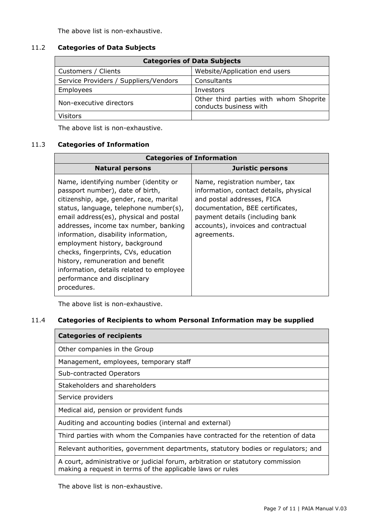The above list is non-exhaustive.

#### 11.2 **Categories of Data Subjects**

| <b>Categories of Data Subjects</b>    |                                                                  |  |
|---------------------------------------|------------------------------------------------------------------|--|
| Customers / Clients                   | Website/Application end users                                    |  |
| Service Providers / Suppliers/Vendors | Consultants                                                      |  |
| Employees                             | Investors                                                        |  |
| Non-executive directors               | Other third parties with whom Shoprite<br>conducts business with |  |
| Visitors                              |                                                                  |  |

The above list is non-exhaustive.

#### 11.3 **Categories of Information**

| <b>Categories of Information</b>                                                                                                                                                                                                                                                                                                                                                                                                                                                                    |                                                                                                                                                                                                                                     |  |
|-----------------------------------------------------------------------------------------------------------------------------------------------------------------------------------------------------------------------------------------------------------------------------------------------------------------------------------------------------------------------------------------------------------------------------------------------------------------------------------------------------|-------------------------------------------------------------------------------------------------------------------------------------------------------------------------------------------------------------------------------------|--|
| <b>Natural persons</b>                                                                                                                                                                                                                                                                                                                                                                                                                                                                              | <b>Juristic persons</b>                                                                                                                                                                                                             |  |
| Name, identifying number (identity or<br>passport number), date of birth,<br>citizenship, age, gender, race, marital<br>status, language, telephone number(s),<br>email address(es), physical and postal<br>addresses, income tax number, banking<br>information, disability information,<br>employment history, background<br>checks, fingerprints, CVs, education<br>history, remuneration and benefit<br>information, details related to employee<br>performance and disciplinary<br>procedures. | Name, registration number, tax<br>information, contact details, physical<br>and postal addresses, FICA<br>documentation, BEE certificates,<br>payment details (including bank<br>accounts), invoices and contractual<br>agreements. |  |

The above list is non-exhaustive.

### 11.4 **Categories of Recipients to whom Personal Information may be supplied**

| <b>Categories of recipients</b>                                                                                                             |
|---------------------------------------------------------------------------------------------------------------------------------------------|
| Other companies in the Group                                                                                                                |
| Management, employees, temporary staff                                                                                                      |
| Sub-contracted Operators                                                                                                                    |
| Stakeholders and shareholders                                                                                                               |
| Service providers                                                                                                                           |
| Medical aid, pension or provident funds                                                                                                     |
| Auditing and accounting bodies (internal and external)                                                                                      |
| Third parties with whom the Companies have contracted for the retention of data                                                             |
| Relevant authorities, government departments, statutory bodies or regulators; and                                                           |
| A court, administrative or judicial forum, arbitration or statutory commission<br>making a request in terms of the applicable laws or rules |

The above list is non-exhaustive.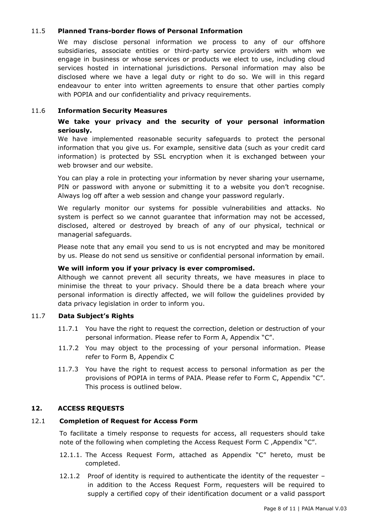#### 11.5 **Planned Trans-border flows of Personal Information**

We may disclose personal information we process to any of our offshore subsidiaries, associate entities or third-party service providers with whom we engage in business or whose services or products we elect to use, including cloud services hosted in international jurisdictions. Personal information may also be disclosed where we have a legal duty or right to do so. We will in this regard endeavour to enter into written agreements to ensure that other parties comply with POPIA and our confidentiality and privacy requirements.

#### 11.6 **Information Security Measures**

#### **We take your privacy and the security of your personal information seriously.**

We have implemented reasonable security safeguards to protect the personal information that you give us. For example, sensitive data (such as your credit card information) is protected by SSL encryption when it is exchanged between your web browser and our website.

You can play a role in protecting your information by never sharing your username, PIN or password with anyone or submitting it to a website you don't recognise. Always log off after a web session and change your password regularly.

We regularly monitor our systems for possible vulnerabilities and attacks. No system is perfect so we cannot guarantee that information may not be accessed, disclosed, altered or destroyed by breach of any of our physical, technical or managerial safeguards.

Please note that any email you send to us is not encrypted and may be monitored by us. Please do not send us sensitive or confidential personal information by email.

#### **We will inform you if your privacy is ever compromised.**

Although we cannot prevent all security threats, we have measures in place to minimise the threat to your privacy. Should there be a data breach where your personal information is directly affected, we will follow the guidelines provided by data privacy legislation in order to inform you.

#### 11.7 **Data Subject's Rights**

- 11.7.1 You have the right to request the correction, deletion or destruction of your personal information. Please refer to Form A, Appendix "C".
- 11.7.2 You may object to the processing of your personal information. Please refer to Form B, Appendix C
- 11.7.3 You have the right to request access to personal information as per the provisions of POPIA in terms of PAIA. Please refer to Form C, Appendix "C". This process is outlined below.

#### **12. ACCESS REQUESTS**

#### 12.1 **Completion of Request for Access Form**

To facilitate a timely response to requests for access, all requesters should take note of the following when completing the Access Request Form C ,Appendix "C".

- 12.1.1. The Access Request Form, attached as Appendix "C" hereto, must be completed.
- 12.1.2 Proof of identity is required to authenticate the identity of the requester in addition to the Access Request Form, requesters will be required to supply a certified copy of their identification document or a valid passport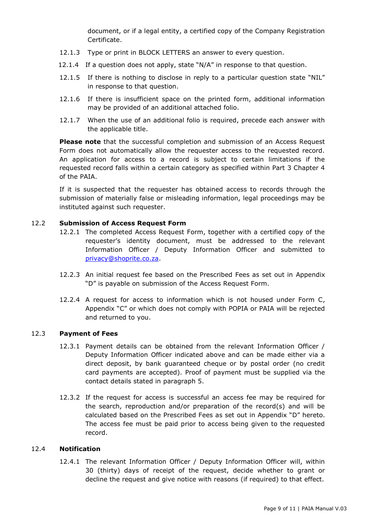document, or if a legal entity, a certified copy of the Company Registration Certificate.

- 12.1.3 Type or print in BLOCK LETTERS an answer to every question.
- 12.1.4 If a question does not apply, state "N/A" in response to that question.
- 12.1.5 If there is nothing to disclose in reply to a particular question state "NIL" in response to that question.
- 12.1.6 If there is insufficient space on the printed form, additional information may be provided of an additional attached folio.
- 12.1.7 When the use of an additional folio is required, precede each answer with the applicable title.

**Please note** that the successful completion and submission of an Access Request Form does not automatically allow the requester access to the requested record. An application for access to a record is subject to certain limitations if the requested record falls within a certain category as specified within Part 3 Chapter 4 of the PAIA.

If it is suspected that the requester has obtained access to records through the submission of materially false or misleading information, legal proceedings may be instituted against such requester.

#### 12.2 **Submission of Access Request Form**

- 12.2.1 The completed Access Request Form, together with a certified copy of the requester's identity document, must be addressed to the relevant Information Officer / Deputy Information Officer and submitted to [privacy@shoprite.co.za.](mailto:privacy@shoprite.co.za)
- 12.2.3 An initial request fee based on the Prescribed Fees as set out in Appendix "D" is payable on submission of the Access Request Form.
- 12.2.4 A request for access to information which is not housed under Form C, Appendix "C" or which does not comply with POPIA or PAIA will be rejected and returned to you.

#### 12.3 **Payment of Fees**

- 12.3.1 Payment details can be obtained from the relevant Information Officer / Deputy Information Officer indicated above and can be made either via a direct deposit, by bank guaranteed cheque or by postal order (no credit card payments are accepted). Proof of payment must be supplied via the contact details stated in paragraph 5.
- 12.3.2 If the request for access is successful an access fee may be required for the search, reproduction and/or preparation of the record(s) and will be calculated based on the Prescribed Fees as set out in Appendix "D" hereto. The access fee must be paid prior to access being given to the requested record.

#### 12.4 **Notification**

12.4.1 The relevant Information Officer / Deputy Information Officer will, within 30 (thirty) days of receipt of the request, decide whether to grant or decline the request and give notice with reasons (if required) to that effect.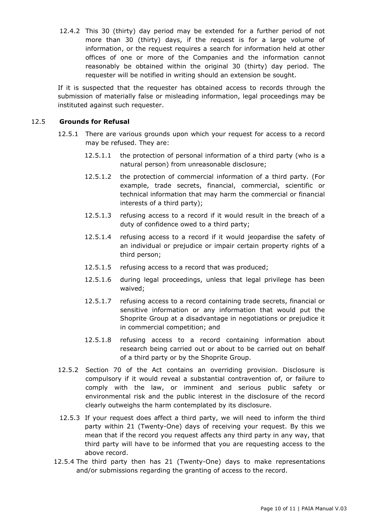12.4.2 This 30 (thirty) day period may be extended for a further period of not more than 30 (thirty) days, if the request is for a large volume of information, or the request requires a search for information held at other offices of one or more of the Companies and the information cannot reasonably be obtained within the original 30 (thirty) day period. The requester will be notified in writing should an extension be sought.

If it is suspected that the requester has obtained access to records through the submission of materially false or misleading information, legal proceedings may be instituted against such requester.

#### 12.5 **Grounds for Refusal**

- 12.5.1 There are various grounds upon which your request for access to a record may be refused. They are:
	- 12.5.1.1 the protection of personal information of a third party (who is a natural person) from unreasonable disclosure;
	- 12.5.1.2 the protection of commercial information of a third party. (For example, trade secrets, financial, commercial, scientific or technical information that may harm the commercial or financial interests of a third party);
	- 12.5.1.3 refusing access to a record if it would result in the breach of a duty of confidence owed to a third party;
	- 12.5.1.4 refusing access to a record if it would jeopardise the safety of an individual or prejudice or impair certain property rights of a third person;
	- 12.5.1.5 refusing access to a record that was produced;
	- 12.5.1.6 during legal proceedings, unless that legal privilege has been waived;
	- 12.5.1.7 refusing access to a record containing trade secrets, financial or sensitive information or any information that would put the Shoprite Group at a disadvantage in negotiations or prejudice it in commercial competition; and
	- 12.5.1.8 refusing access to a record containing information about research being carried out or about to be carried out on behalf of a third party or by the Shoprite Group.
- 12.5.2 Section 70 of the Act contains an overriding provision. Disclosure is compulsory if it would reveal a substantial contravention of, or failure to comply with the law, or imminent and serious public safety or environmental risk and the public interest in the disclosure of the record clearly outweighs the harm contemplated by its disclosure.
- 12.5.3 If your request does affect a third party, we will need to inform the third party within 21 (Twenty-One) days of receiving your request. By this we mean that if the record you request affects any third party in any way, that third party will have to be informed that you are requesting access to the above record.
- 12.5.4 The third party then has 21 (Twenty-One) days to make representations and/or submissions regarding the granting of access to the record.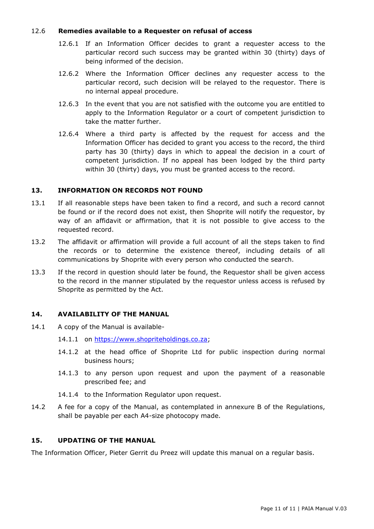#### 12.6 **Remedies available to a Requester on refusal of access**

- 12.6.1 If an Information Officer decides to grant a requester access to the particular record such success may be granted within 30 (thirty) days of being informed of the decision.
- 12.6.2 Where the Information Officer declines any requester access to the particular record, such decision will be relayed to the requestor. There is no internal appeal procedure.
- 12.6.3 In the event that you are not satisfied with the outcome you are entitled to apply to the Information Regulator or a court of competent jurisdiction to take the matter further.
- 12.6.4 Where a third party is affected by the request for access and the Information Officer has decided to grant you access to the record, the third party has 30 (thirty) days in which to appeal the decision in a court of competent jurisdiction. If no appeal has been lodged by the third party within 30 (thirty) days, you must be granted access to the record.

#### **13. INFORMATION ON RECORDS NOT FOUND**

- 13.1 If all reasonable steps have been taken to find a record, and such a record cannot be found or if the record does not exist, then Shoprite will notify the requestor, by way of an affidavit or affirmation, that it is not possible to give access to the requested record.
- 13.2 The affidavit or affirmation will provide a full account of all the steps taken to find the records or to determine the existence thereof, including details of all communications by Shoprite with every person who conducted the search.
- 13.3 If the record in question should later be found, the Requestor shall be given access to the record in the manner stipulated by the requestor unless access is refused by Shoprite as permitted by the Act.

#### **14. AVAILABILITY OF THE MANUAL**

- 14.1 A copy of the Manual is available
	- 14.1.1 on [https://www.shopriteholdings.co.za;](https://www.shopriteholdings.co.za/)
	- 14.1.2 at the head office of Shoprite Ltd for public inspection during normal business hours;
	- 14.1.3 to any person upon request and upon the payment of a reasonable prescribed fee; and
	- 14.1.4 to the Information Regulator upon request.
- 14.2 A fee for a copy of the Manual, as contemplated in annexure B of the Regulations, shall be payable per each A4-size photocopy made.

#### **15. UPDATING OF THE MANUAL**

The Information Officer, Pieter Gerrit du Preez will update this manual on a regular basis.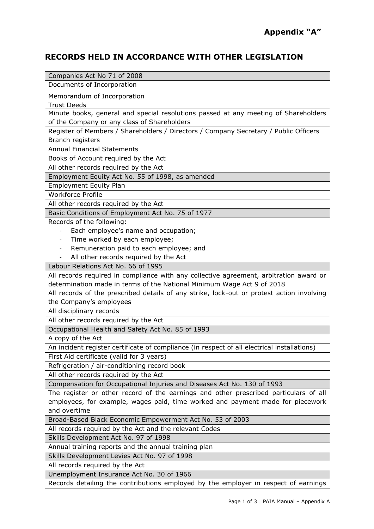# **RECORDS HELD IN ACCORDANCE WITH OTHER LEGISLATION**

| Companies Act No 71 of 2008                                                                 |
|---------------------------------------------------------------------------------------------|
| Documents of Incorporation                                                                  |
| Memorandum of Incorporation                                                                 |
| <b>Trust Deeds</b>                                                                          |
| Minute books, general and special resolutions passed at any meeting of Shareholders         |
| of the Company or any class of Shareholders                                                 |
| Register of Members / Shareholders / Directors / Company Secretary / Public Officers        |
| Branch registers                                                                            |
| <b>Annual Financial Statements</b>                                                          |
| Books of Account required by the Act                                                        |
| All other records required by the Act                                                       |
| Employment Equity Act No. 55 of 1998, as amended                                            |
| <b>Employment Equity Plan</b>                                                               |
| <b>Workforce Profile</b>                                                                    |
| All other records required by the Act                                                       |
| Basic Conditions of Employment Act No. 75 of 1977                                           |
| Records of the following:                                                                   |
| Each employee's name and occupation;                                                        |
| Time worked by each employee;                                                               |
| Remuneration paid to each employee; and                                                     |
| All other records required by the Act                                                       |
| Labour Relations Act No. 66 of 1995                                                         |
| All records required in compliance with any collective agreement, arbitration award or      |
| determination made in terms of the National Minimum Wage Act 9 of 2018                      |
| All records of the prescribed details of any strike, lock-out or protest action involving   |
| the Company's employees                                                                     |
| All disciplinary records                                                                    |
| All other records required by the Act                                                       |
| Occupational Health and Safety Act No. 85 of 1993                                           |
| A copy of the Act                                                                           |
| An incident register certificate of compliance (in respect of all electrical installations) |
| First Aid certificate (valid for 3 years)                                                   |
| Refrigeration / air-conditioning record book                                                |
| All other records required by the Act                                                       |
| Compensation for Occupational Injuries and Diseases Act No. 130 of 1993                     |
| The register or other record of the earnings and other prescribed particulars of all        |
| employees, for example, wages paid, time worked and payment made for piecework              |
| and overtime                                                                                |
| Broad-Based Black Economic Empowerment Act No. 53 of 2003                                   |
| All records required by the Act and the relevant Codes                                      |
| Skills Development Act No. 97 of 1998                                                       |
| Annual training reports and the annual training plan                                        |
| Skills Development Levies Act No. 97 of 1998                                                |
| All records required by the Act                                                             |
| Unemployment Insurance Act No. 30 of 1966                                                   |
| Records detailing the contributions employed by the employer in respect of earnings         |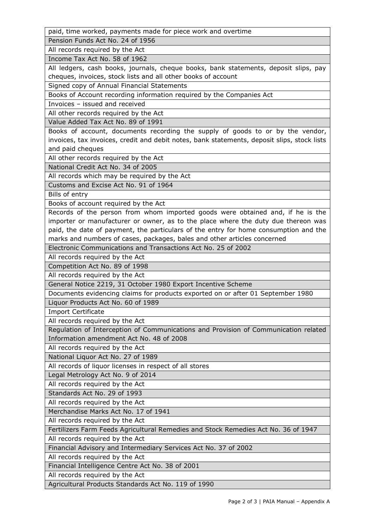paid, time worked, payments made for piece work and overtime

Pension Funds Act No. 24 of 1956

All records required by the Act

Income Tax Act No. 58 of 1962

All ledgers, cash books, journals, cheque books, bank statements, deposit slips, pay cheques, invoices, stock lists and all other books of account

Signed copy of Annual Financial Statements

Books of Account recording information required by the Companies Act

Invoices – issued and received

All other records required by the Act

Value Added Tax Act No. 89 of 1991

Books of account, documents recording the supply of goods to or by the vendor, invoices, tax invoices, credit and debit notes, bank statements, deposit slips, stock lists and paid cheques

All other records required by the Act

National Credit Act No. 34 of 2005

All records which may be required by the Act

Customs and Excise Act No. 91 of 1964

Bills of entry

Books of account required by the Act

Records of the person from whom imported goods were obtained and, if he is the importer or manufacturer or owner, as to the place where the duty due thereon was paid, the date of payment, the particulars of the entry for home consumption and the marks and numbers of cases, packages, bales and other articles concerned

Electronic Communications and Transactions Act No. 25 of 2002

All records required by the Act

Competition Act No. 89 of 1998

All records required by the Act

General Notice 2219, 31 October 1980 Export Incentive Scheme

Documents evidencing claims for products exported on or after 01 September 1980 Liquor Products Act No. 60 of 1989

Import Certificate

All records required by the Act

Regulation of Interception of Communications and Provision of Communication related Information amendment Act No. 48 of 2008

All records required by the Act

National Liquor Act No. 27 of 1989

All records of liquor licenses in respect of all stores

Legal Metrology Act No. 9 of 2014

All records required by the Act

Standards Act No. 29 of 1993

All records required by the Act

Merchandise Marks Act No. 17 of 1941

All records required by the Act

Fertilizers Farm Feeds Agricultural Remedies and Stock Remedies Act No. 36 of 1947

All records required by the Act

Financial Advisory and Intermediary Services Act No. 37 of 2002

All records required by the Act

Financial Intelligence Centre Act No. 38 of 2001

All records required by the Act

Agricultural Products Standards Act No. 119 of 1990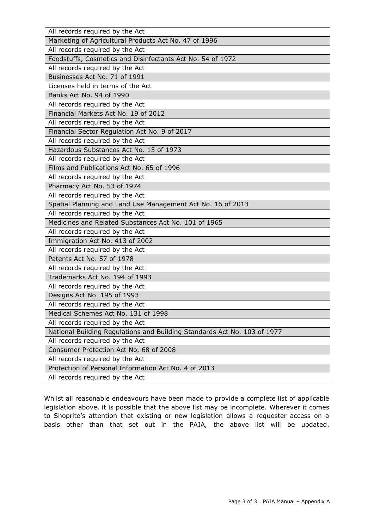| All records required by the Act                                          |
|--------------------------------------------------------------------------|
| Marketing of Agricultural Products Act No. 47 of 1996                    |
| All records required by the Act                                          |
| Foodstuffs, Cosmetics and Disinfectants Act No. 54 of 1972               |
| All records required by the Act                                          |
| Businesses Act No. 71 of 1991                                            |
| Licenses held in terms of the Act                                        |
| Banks Act No. 94 of 1990                                                 |
| All records required by the Act                                          |
| Financial Markets Act No. 19 of 2012                                     |
| All records required by the Act                                          |
| Financial Sector Regulation Act No. 9 of 2017                            |
| All records required by the Act                                          |
| Hazardous Substances Act No. 15 of 1973                                  |
| All records required by the Act                                          |
| Films and Publications Act No. 65 of 1996                                |
| All records required by the Act                                          |
| Pharmacy Act No. 53 of 1974                                              |
| All records required by the Act                                          |
| Spatial Planning and Land Use Management Act No. 16 of 2013              |
| All records required by the Act                                          |
| Medicines and Related Substances Act No. 101 of 1965                     |
| All records required by the Act                                          |
| Immigration Act No. 413 of 2002                                          |
| All records required by the Act                                          |
| Patents Act No. 57 of 1978                                               |
| All records required by the Act                                          |
| Trademarks Act No. 194 of 1993                                           |
| All records required by the Act                                          |
| Designs Act No. 195 of 1993                                              |
| All records required by the Act                                          |
| Medical Schemes Act No. 131 of 1998                                      |
| All records required by the Act                                          |
| National Building Regulations and Building Standards Act No. 103 of 1977 |
| All records required by the Act                                          |
| Consumer Protection Act No. 68 of 2008                                   |
| All records required by the Act                                          |
| Protection of Personal Information Act No. 4 of 2013                     |
| All records required by the Act                                          |

Whilst all reasonable endeavours have been made to provide a complete list of applicable legislation above, it is possible that the above list may be incomplete. Wherever it comes to Shoprite's attention that existing or new legislation allows a requester access on a basis other than that set out in the PAIA, the above list will be updated.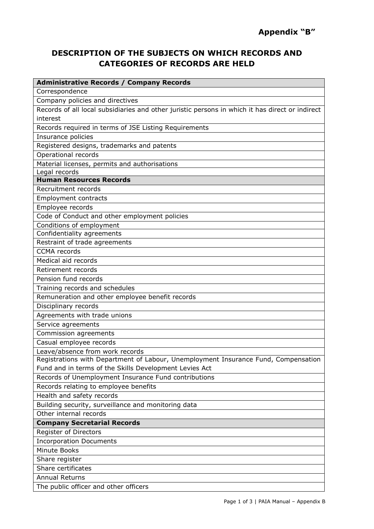# **DESCRIPTION OF THE SUBJECTS ON WHICH RECORDS AND CATEGORIES OF RECORDS ARE HELD**

| <b>Administrative Records / Company Records</b>                                                 |
|-------------------------------------------------------------------------------------------------|
| Correspondence                                                                                  |
| Company policies and directives                                                                 |
| Records of all local subsidiaries and other juristic persons in which it has direct or indirect |
| interest                                                                                        |
| Records required in terms of JSE Listing Requirements                                           |
| Insurance policies                                                                              |
| Registered designs, trademarks and patents                                                      |
| Operational records                                                                             |
| Material licenses, permits and authorisations                                                   |
| Legal records                                                                                   |
| <b>Human Resources Records</b>                                                                  |
| Recruitment records                                                                             |
| <b>Employment contracts</b>                                                                     |
| Employee records                                                                                |
| Code of Conduct and other employment policies                                                   |
| Conditions of employment                                                                        |
| Confidentiality agreements                                                                      |
| Restraint of trade agreements                                                                   |
| <b>CCMA</b> records                                                                             |
| Medical aid records                                                                             |
| Retirement records                                                                              |
| Pension fund records                                                                            |
| Training records and schedules                                                                  |
| Remuneration and other employee benefit records                                                 |
| Disciplinary records                                                                            |
| Agreements with trade unions                                                                    |
| Service agreements                                                                              |
| Commission agreements                                                                           |
| Casual employee records                                                                         |
| Leave/absence from work records                                                                 |
| Registrations with Department of Labour, Unemployment Insurance Fund, Compensation              |
| Fund and in terms of the Skills Development Levies Act                                          |
| Records of Unemployment Insurance Fund contributions                                            |
| Records relating to employee benefits                                                           |
| Health and safety records                                                                       |
| Building security, surveillance and monitoring data                                             |
| Other internal records                                                                          |
| <b>Company Secretarial Records</b>                                                              |
| Register of Directors                                                                           |
| <b>Incorporation Documents</b>                                                                  |
| Minute Books                                                                                    |
| Share register                                                                                  |
| Share certificates                                                                              |
| <b>Annual Returns</b>                                                                           |
| The public officer and other officers                                                           |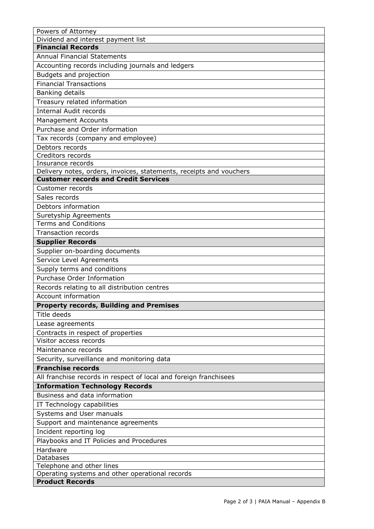| Powers of Attorney                                                  |
|---------------------------------------------------------------------|
| Dividend and interest payment list                                  |
| <b>Financial Records</b>                                            |
| <b>Annual Financial Statements</b>                                  |
| Accounting records including journals and ledgers                   |
| Budgets and projection                                              |
| <b>Financial Transactions</b>                                       |
| <b>Banking details</b>                                              |
| Treasury related information                                        |
| <b>Internal Audit records</b>                                       |
| <b>Management Accounts</b>                                          |
| Purchase and Order information                                      |
| Tax records (company and employee)                                  |
| Debtors records                                                     |
| Creditors records                                                   |
| Insurance records                                                   |
| Delivery notes, orders, invoices, statements, receipts and vouchers |
| <b>Customer records and Credit Services</b>                         |
| Customer records                                                    |
| Sales records                                                       |
| Debtors information                                                 |
| Suretyship Agreements                                               |
| <b>Terms and Conditions</b>                                         |
| <b>Transaction records</b>                                          |
| <b>Supplier Records</b>                                             |
| Supplier on-boarding documents                                      |
| Service Level Agreements                                            |
| Supply terms and conditions                                         |
| Purchase Order Information                                          |
| Records relating to all distribution centres                        |
| <b>Account information</b>                                          |
| <b>Property records, Building and Premises</b>                      |
| Title deeds                                                         |
| Lease agreements                                                    |
| Contracts in respect of properties                                  |
| Visitor access records                                              |
| Maintenance records                                                 |
| Security, surveillance and monitoring data                          |
| <b>Franchise records</b>                                            |
| All franchise records in respect of local and foreign franchisees   |
| <b>Information Technology Records</b>                               |
| Business and data information                                       |
| IT Technology capabilities                                          |
| Systems and User manuals                                            |
| Support and maintenance agreements                                  |
| Incident reporting log                                              |
| Playbooks and IT Policies and Procedures                            |
| Hardware                                                            |
| <b>Databases</b>                                                    |
| Telephone and other lines                                           |
| Operating systems and other operational records                     |
| <b>Product Records</b>                                              |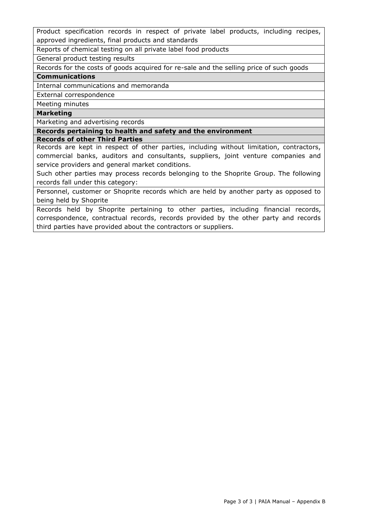Product specification records in respect of private label products, including recipes, approved ingredients, final products and standards

Reports of chemical testing on all private label food products

General product testing results

Records for the costs of goods acquired for re-sale and the selling price of such goods

#### **Communications**

Internal communications and memoranda

External correspondence

Meeting minutes

**Marketing**

Marketing and advertising records

**Records pertaining to health and safety and the environment**

**Records of other Third Parties**

Records are kept in respect of other parties, including without limitation, contractors, commercial banks, auditors and consultants, suppliers, joint venture companies and service providers and general market conditions.

Such other parties may process records belonging to the Shoprite Group. The following records fall under this category:

Personnel, customer or Shoprite records which are held by another party as opposed to being held by Shoprite

Records held by Shoprite pertaining to other parties, including financial records, correspondence, contractual records, records provided by the other party and records third parties have provided about the contractors or suppliers.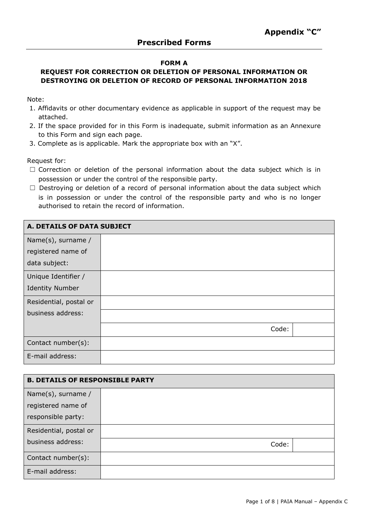#### **FORM A**

#### **REQUEST FOR CORRECTION OR DELETION OF PERSONAL INFORMATION OR DESTROYING OR DELETION OF RECORD OF PERSONAL INFORMATION 2018**

Note:

- 1. Affidavits or other documentary evidence as applicable in support of the request may be attached.
- 2. If the space provided for in this Form is inadequate, submit information as an Annexure to this Form and sign each page.
- 3. Complete as is applicable. Mark the appropriate box with an "X".

Request for:

- □ Correction or deletion of the personal information about the data subject which is in possession or under the control of the responsible party.
- $\Box$  Destroying or deletion of a record of personal information about the data subject which is in possession or under the control of the responsible party and who is no longer authorised to retain the record of information.

| A. DETAILS OF DATA SUBJECT |       |  |
|----------------------------|-------|--|
| Name $(s)$ , surname /     |       |  |
| registered name of         |       |  |
| data subject:              |       |  |
| Unique Identifier /        |       |  |
| <b>Identity Number</b>     |       |  |
| Residential, postal or     |       |  |
| business address:          |       |  |
|                            | Code: |  |
| Contact number(s):         |       |  |
| E-mail address:            |       |  |

| <b>B. DETAILS OF RESPONSIBLE PARTY</b> |       |  |
|----------------------------------------|-------|--|
| Name(s), surname /                     |       |  |
| registered name of                     |       |  |
| responsible party:                     |       |  |
| Residential, postal or                 |       |  |
| business address:                      | Code: |  |
| Contact number(s):                     |       |  |
| E-mail address:                        |       |  |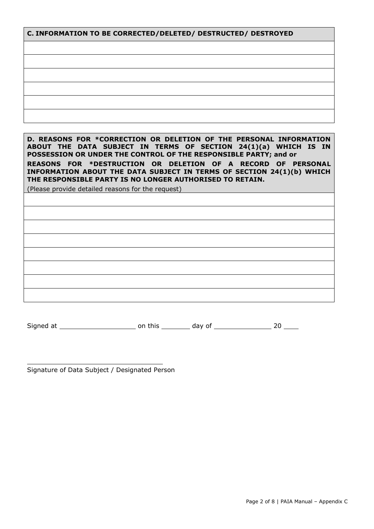| C. INFORMATION TO BE CORRECTED/DELETED/ DESTRUCTED/ DESTROYED |  |  |  |
|---------------------------------------------------------------|--|--|--|
|                                                               |  |  |  |
|                                                               |  |  |  |
|                                                               |  |  |  |
|                                                               |  |  |  |
|                                                               |  |  |  |
|                                                               |  |  |  |
|                                                               |  |  |  |

**D. REASONS FOR \*CORRECTION OR DELETION OF THE PERSONAL INFORMATION ABOUT THE DATA SUBJECT IN TERMS OF SECTION 24(1)(a) WHICH IS IN POSSESSION OR UNDER THE CONTROL OF THE RESPONSIBLE PARTY; and or REASONS FOR \*DESTRUCTION OR DELETION OF A RECORD OF PERSONAL INFORMATION ABOUT THE DATA SUBJECT IN TERMS OF SECTION 24(1)(b) WHICH THE RESPONSIBLE PARTY IS NO LONGER AUTHORISED TO RETAIN.** 

(Please provide detailed reasons for the request)

Signed at on this day of 20

Signature of Data Subject / Designated Person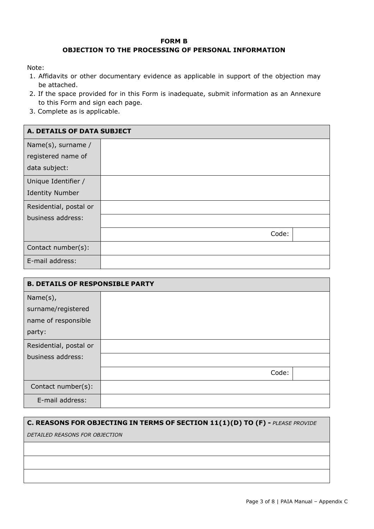#### **FORM B**

#### **OBJECTION TO THE PROCESSING OF PERSONAL INFORMATION**

Note:

- 1. Affidavits or other documentary evidence as applicable in support of the objection may be attached.
- 2. If the space provided for in this Form is inadequate, submit information as an Annexure to this Form and sign each page.
- 3. Complete as is applicable.

| A. DETAILS OF DATA SUBJECT |       |  |
|----------------------------|-------|--|
| Name(s), surname /         |       |  |
| registered name of         |       |  |
| data subject:              |       |  |
| Unique Identifier /        |       |  |
| <b>Identity Number</b>     |       |  |
| Residential, postal or     |       |  |
| business address:          |       |  |
|                            | Code: |  |
| Contact number(s):         |       |  |
| E-mail address:            |       |  |

| <b>B. DETAILS OF RESPONSIBLE PARTY</b> |       |  |
|----------------------------------------|-------|--|
| Name $(s)$ ,                           |       |  |
| surname/registered                     |       |  |
| name of responsible                    |       |  |
| party:                                 |       |  |
| Residential, postal or                 |       |  |
| business address:                      |       |  |
|                                        | Code: |  |
| Contact number(s):                     |       |  |
| E-mail address:                        |       |  |

| <b>C. REASONS FOR OBJECTING IN TERMS OF SECTION 11(1)(D) TO (F) - PLEASE PROVIDE</b> |
|--------------------------------------------------------------------------------------|
| DETAILED REASONS FOR OBJECTION                                                       |
|                                                                                      |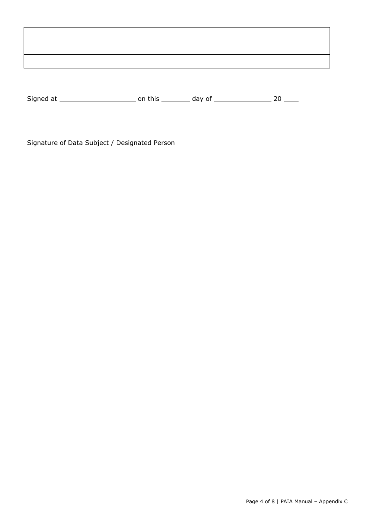Signed at on this day of 20

Signature of Data Subject / Designated Person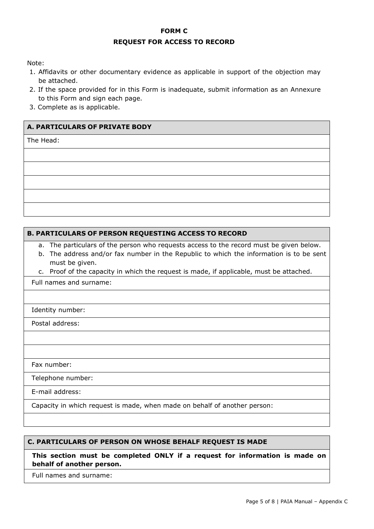#### **FORM C**

#### **REQUEST FOR ACCESS TO RECORD**

Note:

- 1. Affidavits or other documentary evidence as applicable in support of the objection may be attached.
- 2. If the space provided for in this Form is inadequate, submit information as an Annexure to this Form and sign each page.
- 3. Complete as is applicable.

#### **A. PARTICULARS OF PRIVATE BODY**

The Head:

#### **B. PARTICULARS OF PERSON REQUESTING ACCESS TO RECORD**

- a. The particulars of the person who requests access to the record must be given below.
- b. The address and/or fax number in the Republic to which the information is to be sent must be given.
- c. Proof of the capacity in which the request is made, if applicable, must be attached.

Full names and surname:

Identity number:

Postal address:

Fax number:

Telephone number:

E-mail address:

Capacity in which request is made, when made on behalf of another person:

#### **C. PARTICULARS OF PERSON ON WHOSE BEHALF REQUEST IS MADE**

**This section must be completed ONLY if a request for information is made on behalf of another person.**

Full names and surname: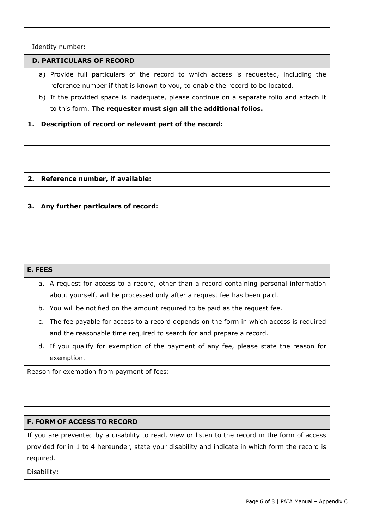Identity number:

#### **D. PARTICULARS OF RECORD**

- a) Provide full particulars of the record to which access is requested, including the reference number if that is known to you, to enable the record to be located.
- b) If the provided space is inadequate, please continue on a separate folio and attach it to this form. **The requester must sign all the additional folios.**

#### **1. Description of record or relevant part of the record:**

**2. Reference number, if available:**

### **3. Any further particulars of record:**

#### **E. FEES**

- a. A request for access to a record, other than a record containing personal information about yourself, will be processed only after a request fee has been paid.
- b. You will be notified on the amount required to be paid as the request fee.
- c. The fee payable for access to a record depends on the form in which access is required and the reasonable time required to search for and prepare a record.
- d. If you qualify for exemption of the payment of any fee, please state the reason for exemption.

Reason for exemption from payment of fees:

#### **F. FORM OF ACCESS TO RECORD**

If you are prevented by a disability to read, view or listen to the record in the form of access provided for in 1 to 4 hereunder, state your disability and indicate in which form the record is required.

Disability: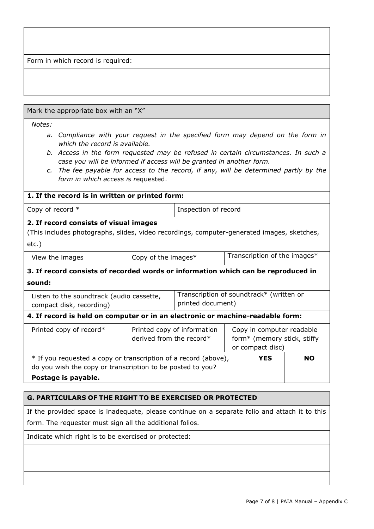| Form in which record is required:                                                 |                                                                                       |                      |                                                                                            |  |
|-----------------------------------------------------------------------------------|---------------------------------------------------------------------------------------|----------------------|--------------------------------------------------------------------------------------------|--|
|                                                                                   |                                                                                       |                      |                                                                                            |  |
|                                                                                   |                                                                                       |                      |                                                                                            |  |
| Mark the appropriate box with an "X"                                              |                                                                                       |                      |                                                                                            |  |
| Notes:                                                                            |                                                                                       |                      |                                                                                            |  |
|                                                                                   |                                                                                       |                      | a. Compliance with your request in the specified form may depend on the form in            |  |
| which the record is available.                                                    |                                                                                       |                      |                                                                                            |  |
|                                                                                   |                                                                                       |                      | b. Access in the form requested may be refused in certain circumstances. In such a         |  |
| case you will be informed if access will be granted in another form.              |                                                                                       |                      |                                                                                            |  |
| form in which access is requested.                                                |                                                                                       |                      | c. The fee payable for access to the record, if any, will be determined partly by the      |  |
|                                                                                   |                                                                                       |                      |                                                                                            |  |
| 1. If the record is in written or printed form:                                   |                                                                                       |                      |                                                                                            |  |
| Copy of record *                                                                  |                                                                                       | Inspection of record |                                                                                            |  |
| 2. If record consists of visual images                                            |                                                                                       |                      |                                                                                            |  |
|                                                                                   |                                                                                       |                      | (This includes photographs, slides, video recordings, computer-generated images, sketches, |  |
| $etc.$ )                                                                          |                                                                                       |                      |                                                                                            |  |
| View the images                                                                   | Copy of the images*                                                                   |                      | Transcription of the images*                                                               |  |
| 3. If record consists of recorded words or information which can be reproduced in |                                                                                       |                      |                                                                                            |  |
| sound:                                                                            |                                                                                       |                      |                                                                                            |  |
|                                                                                   | Transcription of soundtrack* (written or<br>Listen to the soundtrack (audio cassette, |                      |                                                                                            |  |
| compact disk, recording)                                                          |                                                                                       |                      | printed document)                                                                          |  |
| 4. If record is held on computer or in an electronic or machine-readable form:    |                                                                                       |                      |                                                                                            |  |
| Printed copy of record*                                                           | Printed copy of information                                                           |                      | Copy in computer readable                                                                  |  |
|                                                                                   | derived from the record*                                                              |                      | form* (memory stick, stiffy                                                                |  |
|                                                                                   |                                                                                       |                      | or compact disc)                                                                           |  |

\* If you requested a copy or transcription of a record (above), do you wish the copy or transcription to be posted to you? **Postage is payable. YES NO**

#### **G. PARTICULARS OF THE RIGHT TO BE EXERCISED OR PROTECTED**

If the provided space is inadequate, please continue on a separate folio and attach it to this form. The requester must sign all the additional folios.

Indicate which right is to be exercised or protected: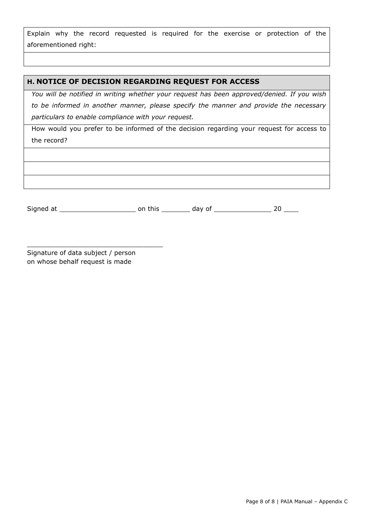Explain why the record requested is required for the exercise or protection of the aforementioned right:

#### **H. NOTICE OF DECISION REGARDING REQUEST FOR ACCESS**

*You will be notified in writing whether your request has been approved/denied. If you wish to be informed in another manner, please specify the manner and provide the necessary particulars to enable compliance with your request.*

How would you prefer to be informed of the decision regarding your request for access to the record?

Signed at on this day of 20

Signature of data subject / person on whose behalf request is made

\_\_\_\_\_\_\_\_\_\_\_\_\_\_\_\_\_\_\_\_\_\_\_\_\_\_\_\_\_\_\_\_\_\_